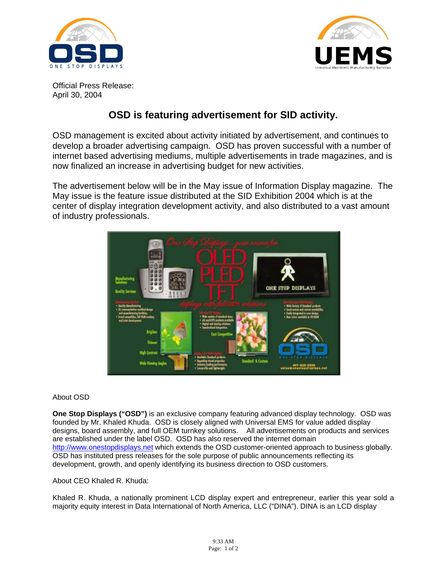



Official Press Release: April 30, 2004

## **OSD is featuring advertisement for SID activity.**

OSD management is excited about activity initiated by advertisement, and continues to develop a broader advertising campaign. OSD has proven successful with a number of internet based advertising mediums, multiple advertisements in trade magazines, and is now finalized an increase in advertising budget for new activities.

The advertisement below will be in the May issue of Information Display magazine. The May issue is the feature issue distributed at the SID Exhibition 2004 which is at the center of display integration development activity, and also distributed to a vast amount of industry professionals.



## About OSD

**One Stop Displays ("OSD")** is an exclusive company featuring advanced display technology. OSD was founded by Mr. Khaled Khuda. OSD is closely aligned with Universal EMS for value added display designs, board assembly, and full OEM turnkey solutions. All advertisements on products and services are established under the label OSD. OSD has also reserved the internet domain http://www.onestopdisplays.net which extends the OSD customer-oriented approach to business globally. OSD has instituted press releases for the sole purpose of public announcements reflecting its development, growth, and openly identifying its business direction to OSD customers.

## About CEO Khaled R. Khuda:

Khaled R. Khuda, a nationally prominent LCD display expert and entrepreneur, earlier this year sold a majority equity interest in Data International of North America, LLC ("DINA"). DINA is an LCD display